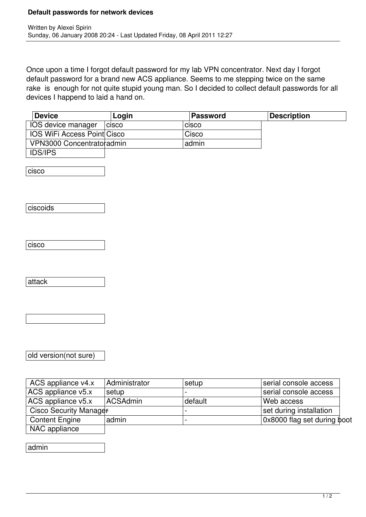## **Default passwords for network devices**

Once upon a time I forgot default password for my lab VPN concentrator. Next day I forgot default password for a brand new ACS appliance. Seems to me stepping twice on the same rake is enough for not quite stupid young man. So I decided to collect default passwords for all devices I happend to laid a hand on.

| <b>Device</b>               | Login        | Password     | <b>Description</b> |
|-----------------------------|--------------|--------------|--------------------|
| IOS device manager          | <b>CISCO</b> | <b>CISCO</b> |                    |
| IOS WiFi Access Point Cisco |              | Cisco        |                    |
| VPN3000 Concentratoradmin   |              | admin        |                    |
| <b>IDS/IPS</b>              |              |              |                    |

cisco

**ciscoids** 

cisco

attack

old version(not sure)

| ACS appliance v4.x     | Administrator | setup   | serial console access       |
|------------------------|---------------|---------|-----------------------------|
| $ACS$ appliance v5.x   | setup         |         | serial console access       |
| ACS appliance v5.x     | ACSAdmin      | default | Web access                  |
| Cisco Security Manager |               |         | set during installation     |
| <b>Content Engine</b>  | admin         |         | 0x8000 flag set during boot |
| NAC appliance          |               |         |                             |

admin